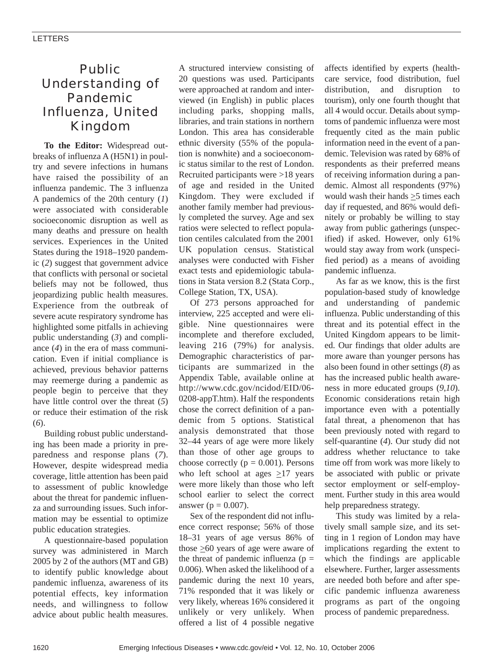## Public Understanding of Pandemic Influenza, United Kingdom

**To the Editor:** Widespread outbreaks of influenza A (H5N1) in poultry and severe infections in humans have raised the possibility of an influenza pandemic. The 3 influenza A pandemics of the 20th century (*1*) were associated with considerable socioeconomic disruption as well as many deaths and pressure on health services. Experiences in the United States during the 1918–1920 pandemic (*2*) suggest that government advice that conflicts with personal or societal beliefs may not be followed, thus jeopardizing public health measures. Experience from the outbreak of severe acute respiratory syndrome has highlighted some pitfalls in achieving public understanding (*3*) and compliance (*4*) in the era of mass communication. Even if initial compliance is achieved, previous behavior patterns may reemerge during a pandemic as people begin to perceive that they have little control over the threat (*5*) or reduce their estimation of the risk (*6*).

Building robust public understanding has been made a priority in preparedness and response plans (*7*). However, despite widespread media coverage, little attention has been paid to assessment of public knowledge about the threat for pandemic influenza and surrounding issues. Such information may be essential to optimize public education strategies.

A questionnaire-based population survey was administered in March 2005 by 2 of the authors (MT and GB) to identify public knowledge about pandemic influenza, awareness of its potential effects, key information needs, and willingness to follow advice about public health measures. A structured interview consisting of 20 questions was used. Participants were approached at random and interviewed (in English) in public places including parks, shopping malls, libraries, and train stations in northern London. This area has considerable ethnic diversity (55% of the population is nonwhite) and a socioeconomic status similar to the rest of London. Recruited participants were >18 years of age and resided in the United Kingdom. They were excluded if another family member had previously completed the survey. Age and sex ratios were selected to reflect population centiles calculated from the 2001 UK population census. Statistical analyses were conducted with Fisher exact tests and epidemiologic tabulations in Stata version 8.2 (Stata Corp., College Station, TX, USA).

Of 273 persons approached for interview, 225 accepted and were eligible. Nine questionnaires were incomplete and therefore excluded, leaving 216 (79%) for analysis. Demographic characteristics of participants are summarized in the Appendix Table, available online at http://www.cdc.gov/ncidod/EID/06- 0208-appT.htm). Half the respondents chose the correct definition of a pandemic from 5 options. Statistical analysis demonstrated that those 32–44 years of age were more likely than those of other age groups to choose correctly ( $p = 0.001$ ). Persons who left school at ages  $\geq$ 17 years were more likely than those who left school earlier to select the correct answer ( $p = 0.007$ ).

Sex of the respondent did not influence correct response; 56% of those 18–31 years of age versus 86% of those  $\geq 60$  years of age were aware of the threat of pandemic influenza ( $p =$ 0.006). When asked the likelihood of a pandemic during the next 10 years, 71% responded that it was likely or very likely, whereas 16% considered it unlikely or very unlikely. When offered a list of 4 possible negative

affects identified by experts (healthcare service, food distribution, fuel distribution, and disruption to tourism), only one fourth thought that all 4 would occur. Details about symptoms of pandemic influenza were most frequently cited as the main public information need in the event of a pandemic. Television was rated by 68% of respondents as their preferred means of receiving information during a pandemic. Almost all respondents (97%) would wash their hands  $\geq$ 5 times each day if requested, and 86% would definitely or probably be willing to stay away from public gatherings (unspecified) if asked. However, only 61% would stay away from work (unspecified period) as a means of avoiding pandemic influenza.

As far as we know, this is the first population-based study of knowledge and understanding of pandemic influenza. Public understanding of this threat and its potential effect in the United Kingdom appears to be limited. Our findings that older adults are more aware than younger persons has also been found in other settings (*8*) as has the increased public health awareness in more educated groups (*9*,*10*). Economic considerations retain high importance even with a potentially fatal threat, a phenomenon that has been previously noted with regard to self-quarantine (*4*). Our study did not address whether reluctance to take time off from work was more likely to be associated with public or private sector employment or self-employment. Further study in this area would help preparedness strategy.

This study was limited by a relatively small sample size, and its setting in 1 region of London may have implications regarding the extent to which the findings are applicable elsewhere. Further, larger assessments are needed both before and after specific pandemic influenza awareness programs as part of the ongoing process of pandemic preparedness.